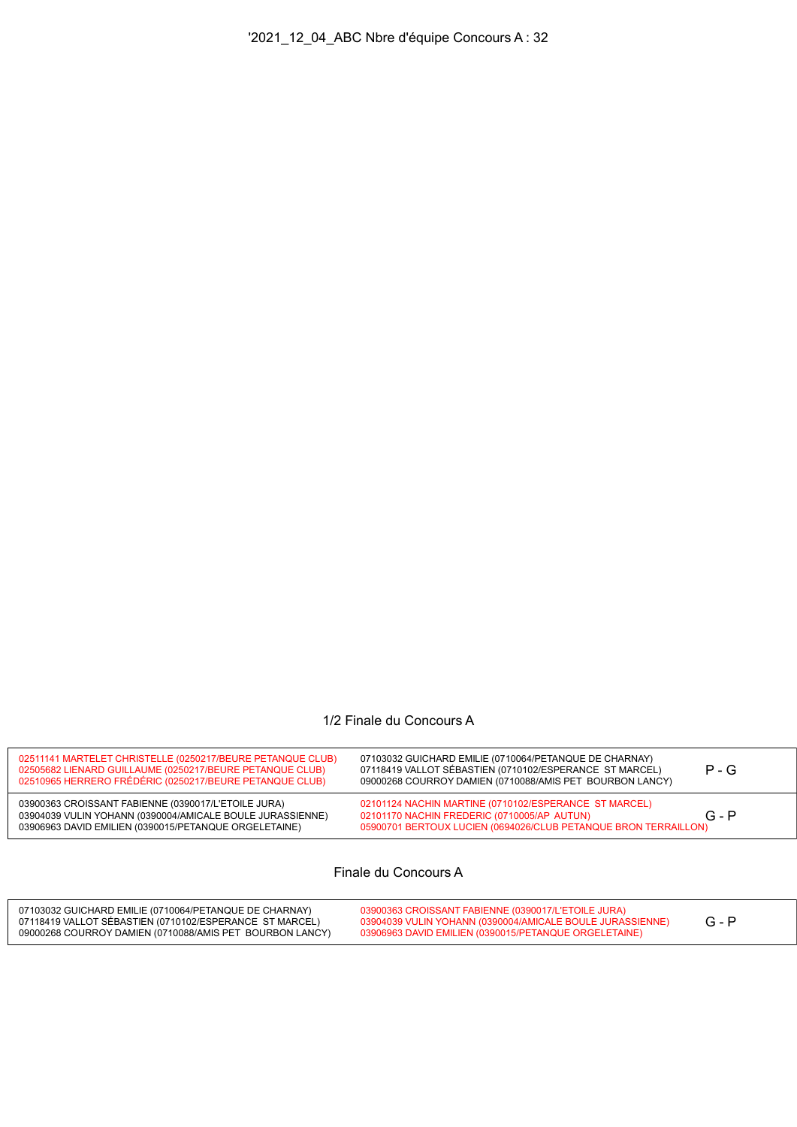## 1/2 Finale du Concours A

| 02510965 HERRERO FRÉDÉRIC (0250217/BEURE PETANQUE CLUB)                                                                                                                   | $P - G$<br>07118419 VALLOT SÉBASTIEN (0710102/ESPERANCE ST MARCEL)<br>09000268 COURROY DAMIEN (0710088/AMIS PET BOURBON LANCY)                                                     |
|---------------------------------------------------------------------------------------------------------------------------------------------------------------------------|------------------------------------------------------------------------------------------------------------------------------------------------------------------------------------|
| 03900363 CROISSANT FABIENNE (0390017/L'ETOILE JURA)<br>03904039 VULIN YOHANN (0390004/AMICALE BOULE JURASSIENNE)<br>03906963 DAVID EMILIEN (0390015/PETANQUE ORGELETAINE) | 02101124 NACHIN MARTINE (0710102/ESPERANCE ST MARCEL)<br>$G - P$<br>02101170 NACHIN FREDERIC (0710005/AP AUTUN)<br>05900701 BERTOUX LUCIEN (0694026/CLUB PETANQUE BRON TERRAILLON) |

Finale du Concours A

| 07103032 GUICHARD EMILIE (0710064/PETANQUE DE CHARNAY)<br>07118419 VALLOT SÉBASTIEN (0710102/ESPERANCE ST MARCEL) | 03900363 CROISSANT FABIENNE (0390017/L'ETOILE JURA)<br>03904039 VULIN YOHANN (0390004/AMICALE BOULE JURASSIENNE) |  |
|-------------------------------------------------------------------------------------------------------------------|------------------------------------------------------------------------------------------------------------------|--|
| 09000268 COURROY DAMIEN (0710088/AMIS PET BOURBON LANCY)                                                          | 03906963 DAVID EMILIEN (0390015/PETANQUE ORGELETAINE)                                                            |  |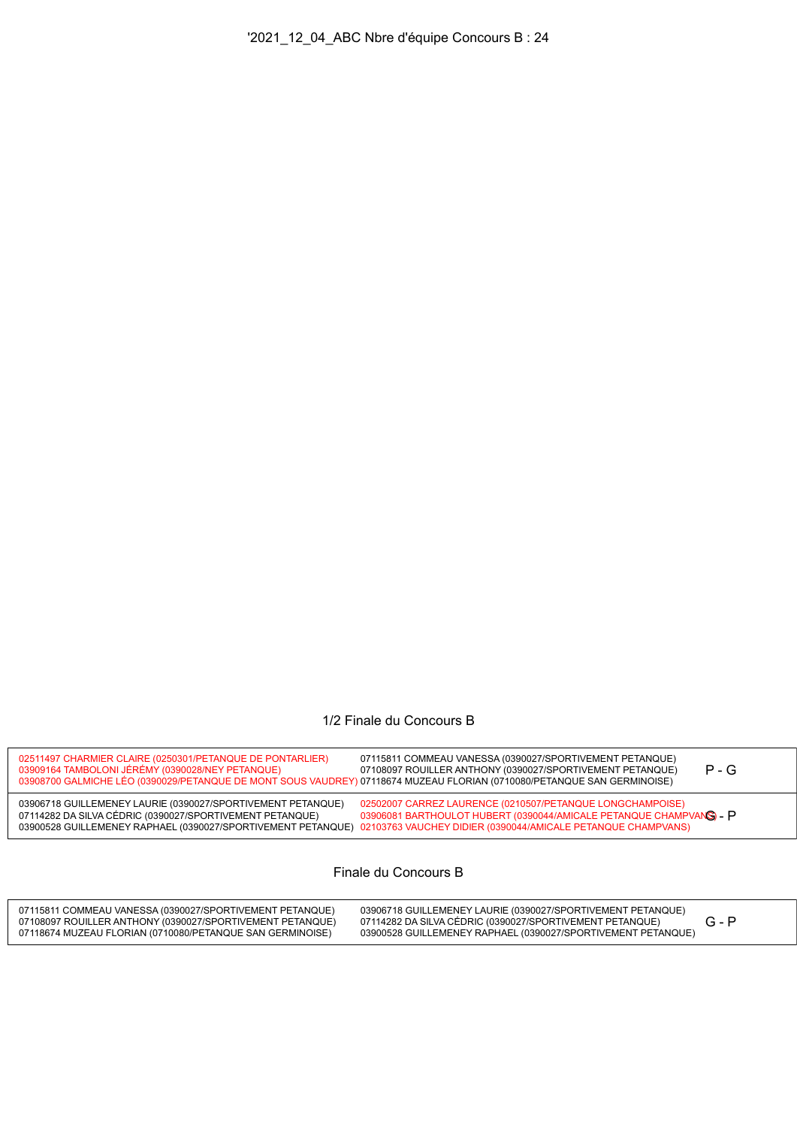## 1/2 Finale du Concours B

| 02511497 CHARMIER CLAIRE (0250301/PETANQUE DE PONTARLIER)<br>03909164 TAMBOLONI JÉRÉMY (0390028/NEY PETANQUE)<br>03908700 GALMICHE LÉO (0390029/PETANQUE DE MONT SOUS VAUDREY) 07118674 MUZEAU FLORIAN (0710080/PETANQUE SAN GERMINOISE) | 07115811 COMMEAU VANESSA (0390027/SPORTIVEMENT PETANQUE)<br>$P - G$<br>07108097 ROUILLER ANTHONY (0390027/SPORTIVEMENT PETANQUE)                                                                                                                              |  |
|------------------------------------------------------------------------------------------------------------------------------------------------------------------------------------------------------------------------------------------|---------------------------------------------------------------------------------------------------------------------------------------------------------------------------------------------------------------------------------------------------------------|--|
| 03906718 GUILLEMENEY LAURIE (0390027/SPORTIVEMENT PETANQUE)<br>07114282 DA SILVA CÉDRIC (0390027/SPORTIVEMENT PETANQUE)                                                                                                                  | 02502007 CARREZ LAURENCE (0210507/PETANQUE LONGCHAMPOISE)<br>03906081 BARTHOULOT HUBERT (0390044/AMICALE PETANQUE CHAMPVANS) - P<br>03900528 GUILLEMENEY RAPHAEL (0390027/SPORTIVEMENT PETANQUE) 02103763 VAUCHEY DIDIER (0390044/AMICALE PETANQUE CHAMPVANS) |  |

Finale du Concours B

| 07115811 COMMEAU VANESSA (0390027/SPORTIVEMENT PETANQUE)<br>07108097 ROUILLER ANTHONY (0390027/SPORTIVEMENT PETANQUE)<br>07118674 MUZEAU FLORIAN (0710080/PETANQUE SAN GERMINOISE) | 03906718 GUILLEMENEY LAURIE (0390027/SPORTIVEMENT PETANQUE)<br>07114282 DA SILVA CÉDRIC (0390027/SPORTIVEMENT PETANQUE)<br>03900528 GUILLEMENEY RAPHAEL (0390027/SPORTIVEMENT PETANQUE) |  |  |
|------------------------------------------------------------------------------------------------------------------------------------------------------------------------------------|-----------------------------------------------------------------------------------------------------------------------------------------------------------------------------------------|--|--|
|------------------------------------------------------------------------------------------------------------------------------------------------------------------------------------|-----------------------------------------------------------------------------------------------------------------------------------------------------------------------------------------|--|--|